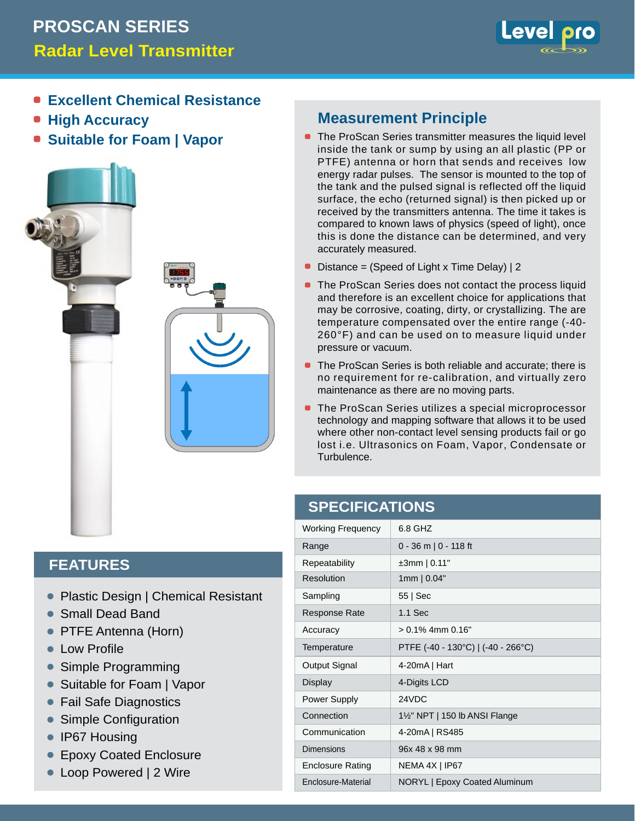# **Radar Level Transmitter PROSCAN SERIES**



- **Excellent Chemical Resistance**
- **High Accuracy**
- **Suitable for Foam | Vapor**



### **Measurement Principle**

- **The ProScan Series transmitter measures the liquid level** inside the tank or sump by using an all plastic (PP or PTFE) antenna or horn that sends and receives low energy radar pulses. The sensor is mounted to the top of the tank and the pulsed signal is reflected off the liquid surface, the echo (returned signal) is then picked up or received by the transmitters antenna. The time it takes is compared to known laws of physics (speed of light), once this is done the distance can be determined, and very accurately measured.
- Distance = (Speed of Light x Time Delay) | 2
- The ProScan Series does not contact the process liquid and therefore is an excellent choice for applications that may be corrosive, coating, dirty, or crystallizing. The are temperature compensated over the entire range (-40- 260°F) and can be used on to measure liquid under pressure or vacuum.
- The ProScan Series is both reliable and accurate; there is no requirement for re-calibration, and virtually zero maintenance as there are no moving parts.
- The ProScan Series utilizes a special microprocessor technology and mapping software that allows it to be used where other non-contact level sensing products fail or go lost i.e. Ultrasonics on Foam, Vapor, Condensate or Turbulence.

#### **SPECIFICATIONS**

| <b>Working Frequency</b> | 6.8 GHZ                                              |  |
|--------------------------|------------------------------------------------------|--|
| Range                    | $0 - 36$ m   0 - 118 ft                              |  |
| Repeatability            | $±3mm$   0.11"                                       |  |
| Resolution               | $1mm$   0.04"                                        |  |
| Sampling                 | 55   Sec                                             |  |
| <b>Response Rate</b>     | $1.1$ Sec                                            |  |
| Accuracy                 | $> 0.1\%$ 4mm $0.16"$                                |  |
| Temperature              | PTFE $(-40 - 130^{\circ}C)$   $(-40 - 266^{\circ}C)$ |  |
| Output Signal            | $4-20mA$   Hart                                      |  |
| Display                  | 4-Digits LCD                                         |  |
| Power Supply             | 24VDC                                                |  |
| Connection               | $1\frac{1}{2}$ " NPT   150 lb ANSI Flange            |  |
| Communication            | 4-20mA   RS485                                       |  |
| Dimensions               | 96x 48 x 98 mm                                       |  |
| <b>Enclosure Rating</b>  | NEMA 4X   IP67                                       |  |
| Enclosure-Material       | <b>NORYL   Epoxy Coated Aluminum</b>                 |  |

### **FEATURES**

- Plastic Design | Chemical Resistant
- Small Dead Band •
- PTFE Antenna (Horn) •
- **Low Profile**
- Simple Programming  $\bullet$
- Suitable for Foam | Vapor •
- Fail Safe Diagnostics •
- Simple Configuration •
- IP67 Housing •
- Epoxy Coated Enclosure •
- Loop Powered | 2 Wire